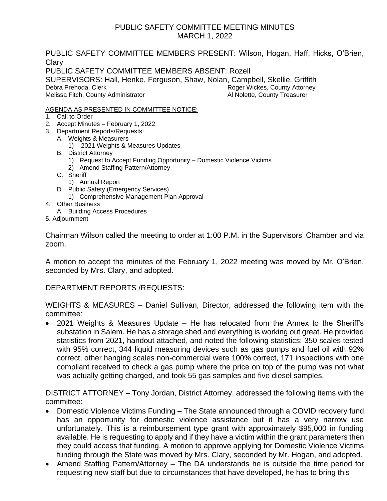# PUBLIC SAFETY COMMITTEE MEETING MINUTES MARCH 1, 2022

PUBLIC SAFETY COMMITTEE MEMBERS PRESENT: Wilson, Hogan, Haff, Hicks, O'Brien, **Clary** PUBLIC SAFETY COMMITTEE MEMBERS ABSENT: Rozell SUPERVISORS: Hall, Henke, Ferguson, Shaw, Nolan, Campbell, Skellie, Griffith Debra Prehoda, Clerk **Roger Attorney Roger Wickes, County Attorney** Melissa Fitch, County Administrator **All Nolette, County Treasurer** Al Nolette, County Treasurer

### AGENDA AS PRESENTED IN COMMITTEE NOTICE:

- 1. Call to Order
- 2. Accept Minutes February 1, 2022
- 3. Department Reports/Requests:
	- A. Weights & Measurers
		- 1) 2021 Weights & Measures Updates
	- B. District Attorney
		- 1) Request to Accept Funding Opportunity Domestic Violence Victims
		- 2) Amend Staffing Pattern/Attorney
	- C. Sheriff
		- 1) Annual Report
	- D. Public Safety (Emergency Services)
	- 1) Comprehensive Management Plan Approval
- 4. Other Business
	- A. Building Access Procedures
- 5. Adjournment

Chairman Wilson called the meeting to order at 1:00 P.M. in the Supervisors' Chamber and via zoom.

A motion to accept the minutes of the February 1, 2022 meeting was moved by Mr. O'Brien, seconded by Mrs. Clary, and adopted.

DEPARTMENT REPORTS /REQUESTS:

WEIGHTS & MEASURES – Daniel Sullivan, Director, addressed the following item with the committee:

• 2021 Weights & Measures Update – He has relocated from the Annex to the Sheriff's substation in Salem. He has a storage shed and everything is working out great. He provided statistics from 2021, handout attached, and noted the following statistics: 350 scales tested with 95% correct, 344 liquid measuring devices such as gas pumps and fuel oil with 92% correct, other hanging scales non-commercial were 100% correct, 171 inspections with one compliant received to check a gas pump where the price on top of the pump was not what was actually getting charged, and took 55 gas samples and five diesel samples.

DISTRICT ATTORNEY – Tony Jordan, District Attorney, addressed the following items with the committee:

- Domestic Violence Victims Funding The State announced through a COVID recovery fund has an opportunity for domestic violence assistance but it has a very narrow use unfortunately. This is a reimbursement type grant with approximately \$95,000 in funding available. He is requesting to apply and if they have a victim within the grant parameters then they could access that funding. A motion to approve applying for Domestic Violence Victims funding through the State was moved by Mrs. Clary, seconded by Mr. Hogan, and adopted.
- Amend Staffing Pattern/Attorney The DA understands he is outside the time period for requesting new staff but due to circumstances that have developed, he has to bring this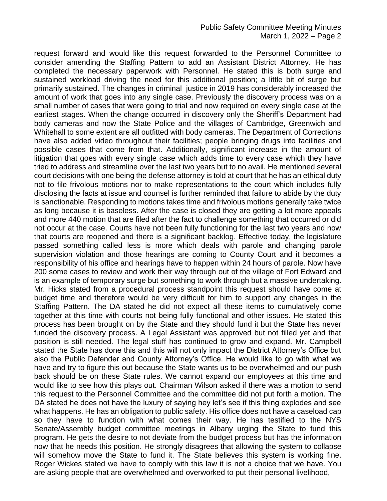request forward and would like this request forwarded to the Personnel Committee to consider amending the Staffing Pattern to add an Assistant District Attorney. He has completed the necessary paperwork with Personnel. He stated this is both surge and sustained workload driving the need for this additional position; a little bit of surge but primarily sustained. The changes in criminal justice in 2019 has considerably increased the amount of work that goes into any single case. Previously the discovery process was on a small number of cases that were going to trial and now required on every single case at the earliest stages. When the change occurred in discovery only the Sheriff's Department had body cameras and now the State Police and the villages of Cambridge, Greenwich and Whitehall to some extent are all outfitted with body cameras. The Department of Corrections have also added video throughout their facilities; people bringing drugs into facilities and possible cases that come from that. Additionally, significant increase in the amount of litigation that goes with every single case which adds time to every case which they have tried to address and streamline over the last two years but to no avail. He mentioned several court decisions with one being the defense attorney is told at court that he has an ethical duty not to file frivolous motions nor to make representations to the court which includes fully disclosing the facts at issue and counsel is further reminded that failure to abide by the duty is sanctionable. Responding to motions takes time and frivolous motions generally take twice as long because it is baseless. After the case is closed they are getting a lot more appeals and more 440 motion that are filed after the fact to challenge something that occurred or did not occur at the case. Courts have not been fully functioning for the last two years and now that courts are reopened and there is a significant backlog. Effective today, the legislature passed something called less is more which deals with parole and changing parole supervision violation and those hearings are coming to County Court and it becomes a responsibility of his office and hearings have to happen within 24 hours of parole. Now have 200 some cases to review and work their way through out of the village of Fort Edward and is an example of temporary surge but something to work through but a massive undertaking. Mr. Hicks stated from a procedural process standpoint this request should have come at budget time and therefore would be very difficult for him to support any changes in the Staffing Pattern. The DA stated he did not expect all these items to cumulatively come together at this time with courts not being fully functional and other issues. He stated this process has been brought on by the State and they should fund it but the State has never funded the discovery process. A Legal Assistant was approved but not filled yet and that position is still needed. The legal stuff has continued to grow and expand. Mr. Campbell stated the State has done this and this will not only impact the District Attorney's Office but also the Public Defender and County Attorney's Office. He would like to go with what we have and try to figure this out because the State wants us to be overwhelmed and our push back should be on these State rules. We cannot expand our employees at this time and would like to see how this plays out. Chairman Wilson asked if there was a motion to send this request to the Personnel Committee and the committee did not put forth a motion. The DA stated he does not have the luxury of saying hey let's see if this thing explodes and see what happens. He has an obligation to public safety. His office does not have a caseload cap so they have to function with what comes their way. He has testified to the NYS Senate/Assembly budget committee meetings in Albany urging the State to fund this program. He gets the desire to not deviate from the budget process but has the information now that he needs this position. He strongly disagrees that allowing the system to collapse will somehow move the State to fund it. The State believes this system is working fine. Roger Wickes stated we have to comply with this law it is not a choice that we have. You are asking people that are overwhelmed and overworked to put their personal livelihood,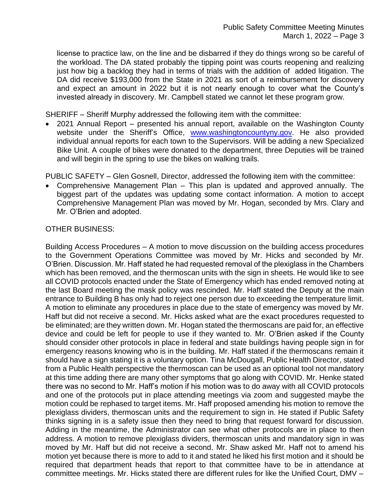license to practice law, on the line and be disbarred if they do things wrong so be careful of the workload. The DA stated probably the tipping point was courts reopening and realizing just how big a backlog they had in terms of trials with the addition of added litigation. The DA did receive \$193,000 from the State in 2021 as sort of a reimbursement for discovery and expect an amount in 2022 but it is not nearly enough to cover what the County's invested already in discovery. Mr. Campbell stated we cannot let these program grow.

SHERIFF – Sheriff Murphy addressed the following item with the committee:

• 2021 Annual Report – presented his annual report, available on the Washington County website under the Sheriff's Office, [www.washingtoncountyny.gov.](http://www.washingtoncountyny.gov/) He also provided individual annual reports for each town to the Supervisors. Will be adding a new Specialized Bike Unit. A couple of bikes were donated to the department, three Deputies will be trained and will begin in the spring to use the bikes on walking trails.

PUBLIC SAFETY – Glen Gosnell, Director, addressed the following item with the committee:

• Comprehensive Management Plan – This plan is updated and approved annually. The biggest part of the updates was updating some contact information. A motion to accept Comprehensive Management Plan was moved by Mr. Hogan, seconded by Mrs. Clary and Mr. O'Brien and adopted.

## OTHER BUSINESS:

Building Access Procedures – A motion to move discussion on the building access procedures to the Government Operations Committee was moved by Mr. Hicks and seconded by Mr. O'Brien. Discussion. Mr. Haff stated he had requested removal of the plexiglass in the Chambers which has been removed, and the thermoscan units with the sign in sheets. He would like to see all COVID protocols enacted under the State of Emergency which has ended removed noting at the last Board meeting the mask policy was rescinded. Mr. Haff stated the Deputy at the main entrance to Building B has only had to reject one person due to exceeding the temperature limit. A motion to eliminate any procedures in place due to the state of emergency was moved by Mr. Haff but did not receive a second. Mr. Hicks asked what are the exact procedures requested to be eliminated; are they written down. Mr. Hogan stated the thermoscans are paid for, an effective device and could be left for people to use if they wanted to. Mr. O'Brien asked if the County should consider other protocols in place in federal and state buildings having people sign in for emergency reasons knowing who is in the building. Mr. Haff stated if the thermoscans remain it should have a sign stating it is a voluntary option. Tina McDougall, Public Health Director, stated from a Public Health perspective the thermoscan can be used as an optional tool not mandatory at this time adding there are many other symptoms that go along with COVID. Mr. Henke stated there was no second to Mr. Haff's motion if his motion was to do away with all COVID protocols and one of the protocols put in place attending meetings via zoom and suggested maybe the motion could be rephased to target items. Mr. Haff proposed amending his motion to remove the plexiglass dividers, thermoscan units and the requirement to sign in. He stated if Public Safety thinks signing in is a safety issue then they need to bring that request forward for discussion. Adding in the meantime, the Administrator can see what other protocols are in place to then address. A motion to remove plexiglass dividers, thermoscan units and mandatory sign in was moved by Mr. Haff but did not receive a second. Mr. Shaw asked Mr. Haff not to amend his motion yet because there is more to add to it and stated he liked his first motion and it should be required that department heads that report to that committee have to be in attendance at committee meetings. Mr. Hicks stated there are different rules for like the Unified Court, DMV –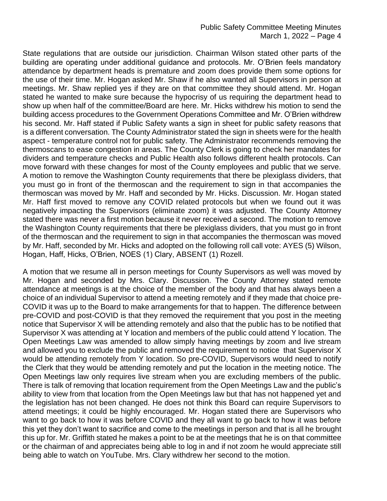State regulations that are outside our jurisdiction. Chairman Wilson stated other parts of the building are operating under additional guidance and protocols. Mr. O'Brien feels mandatory attendance by department heads is premature and zoom does provide them some options for the use of their time. Mr. Hogan asked Mr. Shaw if he also wanted all Supervisors in person at meetings. Mr. Shaw replied yes if they are on that committee they should attend. Mr. Hogan stated he wanted to make sure because the hypocrisy of us requiring the department head to show up when half of the committee/Board are here. Mr. Hicks withdrew his motion to send the building access procedures to the Government Operations Committee and Mr. O'Brien withdrew his second. Mr. Haff stated if Public Safety wants a sign in sheet for public safety reasons that is a different conversation. The County Administrator stated the sign in sheets were for the health aspect - temperature control not for public safety. The Administrator recommends removing the thermoscans to ease congestion in areas. The County Clerk is going to check her mandates for dividers and temperature checks and Public Health also follows different health protocols. Can move forward with these changes for most of the County employees and public that we serve. A motion to remove the Washington County requirements that there be plexiglass dividers, that you must go in front of the thermoscan and the requirement to sign in that accompanies the thermoscan was moved by Mr. Haff and seconded by Mr. Hicks. Discussion. Mr. Hogan stated Mr. Haff first moved to remove any COVID related protocols but when we found out it was negatively impacting the Supervisors (eliminate zoom) it was adjusted. The County Attorney stated there was never a first motion because it never received a second. The motion to remove the Washington County requirements that there be plexiglass dividers, that you must go in front of the thermoscan and the requirement to sign in that accompanies the thermoscan was moved by Mr. Haff, seconded by Mr. Hicks and adopted on the following roll call vote: AYES (5) Wilson, Hogan, Haff, Hicks, O'Brien, NOES (1) Clary, ABSENT (1) Rozell.

A motion that we resume all in person meetings for County Supervisors as well was moved by Mr. Hogan and seconded by Mrs. Clary. Discussion. The County Attorney stated remote attendance at meetings is at the choice of the member of the body and that has always been a choice of an individual Supervisor to attend a meeting remotely and if they made that choice pre-COVID it was up to the Board to make arrangements for that to happen. The difference between pre-COVID and post-COVID is that they removed the requirement that you post in the meeting notice that Supervisor X will be attending remotely and also that the public has to be notified that Supervisor X was attending at Y location and members of the public could attend Y location. The Open Meetings Law was amended to allow simply having meetings by zoom and live stream and allowed you to exclude the public and removed the requirement to notice that Supervisor X would be attending remotely from Y location. So pre-COVID, Supervisors would need to notify the Clerk that they would be attending remotely and put the location in the meeting notice. The Open Meetings law only requires live stream when you are excluding members of the public. There is talk of removing that location requirement from the Open Meetings Law and the public's ability to view from that location from the Open Meetings law but that has not happened yet and the legislation has not been changed. He does not think this Board can require Supervisors to attend meetings; it could be highly encouraged. Mr. Hogan stated there are Supervisors who want to go back to how it was before COVID and they all want to go back to how it was before this yet they don't want to sacrifice and come to the meetings in person and that is all he brought this up for. Mr. Griffith stated he makes a point to be at the meetings that he is on that committee or the chairman of and appreciates being able to log in and if not zoom he would appreciate still being able to watch on YouTube. Mrs. Clary withdrew her second to the motion.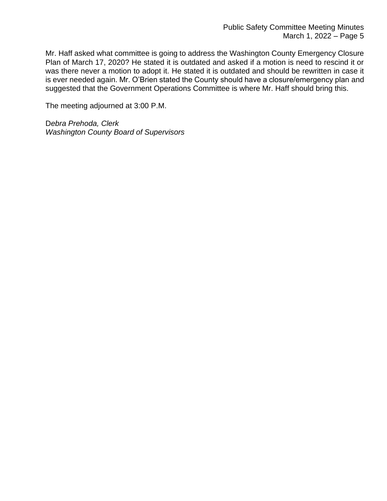Mr. Haff asked what committee is going to address the Washington County Emergency Closure Plan of March 17, 2020? He stated it is outdated and asked if a motion is need to rescind it or was there never a motion to adopt it. He stated it is outdated and should be rewritten in case it is ever needed again. Mr. O'Brien stated the County should have a closure/emergency plan and suggested that the Government Operations Committee is where Mr. Haff should bring this.

The meeting adjourned at 3:00 P.M.

D*ebra Prehoda, Clerk Washington County Board of Supervisors*